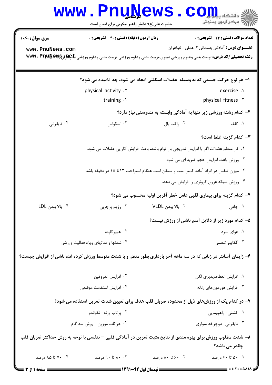|                                                                                           | <b>www.PnuNews</b><br>حضرت علی(ع): دانش راهبر نیکویی برای ایمان است                                                    |                                                                    | رآ مرڪز آزمون وسنڊش                                |  |
|-------------------------------------------------------------------------------------------|------------------------------------------------------------------------------------------------------------------------|--------------------------------------------------------------------|----------------------------------------------------|--|
| <b>سری سوال :</b> یک ۱                                                                    | <b>زمان آزمون (دقیقه) : تستی : 40 قشریحی : 0</b>                                                                       |                                                                    | تعداد سوالات : تستي : 24 - تشريحي : 0              |  |
| www.PnuNews.com                                                                           | <b>رشته تحصیلی/کد درس:</b> تربیت بدنی وعلوم ورزشی دبیری،تربیت بدنی وعلوم ورزشی،تربیت بدنی وعلوم ورزشی (\$wwv . Pnpayaw |                                                                    | <b>عنـــوان درس:</b> آمادگی جسمانی ۲-عملی -خواهران |  |
|                                                                                           |                                                                                                                        |                                                                    |                                                    |  |
|                                                                                           | ۱- هر نوع حرکت جسمی که به وسیله عضلات اسکلتی ایجاد می شود، چه  نامیده می شود؟                                          |                                                                    |                                                    |  |
|                                                                                           | physical activity . Y                                                                                                  |                                                                    | exercise.                                          |  |
|                                                                                           | training . f                                                                                                           | physical fitness . r                                               |                                                    |  |
|                                                                                           |                                                                                                                        | ۲- کدام رشته ورزشی زیر تنها به آمادگی وابسته به تندرستی نیاز دارد؟ |                                                    |  |
| ۰۴ قايقراني                                                                               | ۰۳ اسکواش                                                                                                              | ٠٢ راكت بال                                                        | ۰۱ گلف                                             |  |
|                                                                                           |                                                                                                                        |                                                                    | ۳- کدام گزینه غلط است؟                             |  |
| ٠١ كار منظم عضلات اگر با افزايش تدريجي بار توام باشد، باعث افزايش كارايي عضلات مي شود.    |                                                                                                                        |                                                                    |                                                    |  |
| ۰۲ ورزش باعث افزایش حجم ضربه ای می شود.                                                   |                                                                                                                        |                                                                    |                                                    |  |
|                                                                                           | ۰۳ میزان تنفس در افراد آماده کمتر است و ممکن است هنگام استراحت ۱۲تا ۱۵ در دقیقه باشد.                                  |                                                                    |                                                    |  |
|                                                                                           |                                                                                                                        |                                                                    | ۰۴ ورزش شبکه عروق کرونری را افزایش می دهد.         |  |
|                                                                                           |                                                                                                                        | ۴- کدام گزینه برای بیماری قلبی عامل خطر آفرین اولیه محسوب می شود؟  |                                                    |  |
| ۰۴ بالا بودن LDL                                                                          | ۰۳ رژیم پرچربی                                                                                                         | ۰۲ بالا بودن VLDL                                                  | ۰۱ چاقی                                            |  |
|                                                                                           | ۵- کدام مورد زیر از دلایل آسم ناشی از ورزش نیست <u>؟</u>                                                               |                                                                    |                                                    |  |
|                                                                                           | ۰۲ هيپرکاپنه                                                                                                           |                                                                    | ۰۱ هوای سرد                                        |  |
|                                                                                           | ۰۴ شدتها و مدتهای ویژه فعالیت ورزشی                                                                                    |                                                                    | ۰۳ آلکايوز تنفسي                                   |  |
|                                                                                           | ۶– زایمان آسانتر در زنانی که در سه ماهه آخر بارداری بطور منظم و با شدت متوسط ورزش کرده اند، ناشی از افزایش چیست؟       |                                                                    |                                                    |  |
|                                                                                           | ۰۲ افزایش اندروفین                                                                                                     |                                                                    | ٠١ افزايش انعطافپذيري لگن                          |  |
|                                                                                           | ۰۴ افزایش استقامت موضعی                                                                                                |                                                                    | ۰۳ افزایش هورمونهای زنانه                          |  |
| ۷– در کدام یک از ورزشهای ذیل از محدوده ضربان قلب هدف برای تعیین شدت تمرین استفاده می شود؟ |                                                                                                                        |                                                                    |                                                    |  |
|                                                                                           | ۰۲ پرتاب وزنه- تکواندو                                                                                                 |                                                                    | ۰۱ كشتى- راهپيمايي                                 |  |
| ۰۴ حرکات موزون - پرش سه گام                                                               |                                                                                                                        |                                                                    | ۰۳ قایقرانی- دوچرخه سواری                          |  |
|                                                                                           | ۸– شدت مطلوب ورزش برای بهره مندی از نتایج مثبت تمرین در آمادگی قلبی – تنفسی با توجه به روش حداکثر ضربان قلب            |                                                                    | چقدر می باشد؟                                      |  |
| ۰۴ تا ۸۵ درصد                                                                             | ۰. ۸۰ تا ۹۰ درصد                                                                                                       | ۰.۲ ۶۰ تا ۸۰ درصد                                                  | ۰.۱ ۵۰ تا ۶۰ درصد                                  |  |
| = صفحه ۱ ا                                                                                |                                                                                                                        |                                                                    |                                                    |  |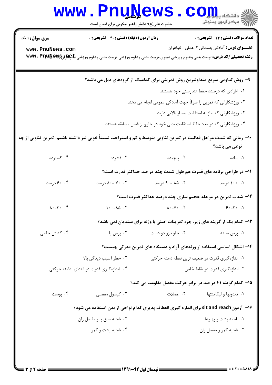| WWW.Pnu Sews.Com                              |  |
|-----------------------------------------------|--|
| حضرت علی(ع): دانش راهبر نیکویی برای ایمان است |  |

| <b>سری سوال : ۱ یک</b>                                                                                             | <b>زمان آزمون (دقیقه) : تستی : 40 قشریحی : 0</b> |                    | <b>تعداد سوالات : تستی : 24 گشریحی : 0</b>                                                                             |  |  |
|--------------------------------------------------------------------------------------------------------------------|--------------------------------------------------|--------------------|------------------------------------------------------------------------------------------------------------------------|--|--|
| www.PnuNews.com                                                                                                    |                                                  |                    | <b>عنـــوان درس:</b> آمادگی جسمانی ۲-عملی -خواهران                                                                     |  |  |
|                                                                                                                    |                                                  |                    | <b>رشته تحصیلی/کد درس:</b> تربیت بدنی وعلوم ورزشی دبیری،تربیت بدنی وعلوم ورزشی،تربیت بدنی وعلوم ورزشی (\$wwv . Pnpayaw |  |  |
|                                                                                                                    |                                                  |                    | ۹- روش تداومی سریع متداولترین روش تمرینی برای کدامیک از گروههای ذیل می باشد؟                                           |  |  |
|                                                                                                                    | ۰۱ افرادی که درصدد حفظ تندرستی خود هستند.        |                    |                                                                                                                        |  |  |
| ۰۲ ورزشکارانی که تمرین را صرفاً جهت آمادگی عمومی انجام می دهند.                                                    |                                                  |                    |                                                                                                                        |  |  |
| ۰۳ ورزشکارانی که نیاز به استقامت بسیار بالایی دارند.                                                               |                                                  |                    |                                                                                                                        |  |  |
| ۰۴ ورزشکارانی که درصدد حفظ استقامت بدنی خود در خارج از فصل مسابقه هستند.                                           |                                                  |                    |                                                                                                                        |  |  |
| ∙۱− زمانی که شدت مراحل فعالیت در تمرین تناوبی متوسط و کم و استراحت نسبتاً خوبی نیز داشته باشیم، تمرین تناوبی از چه |                                                  |                    |                                                                                                                        |  |  |
|                                                                                                                    |                                                  |                    | نوعی می باشد؟                                                                                                          |  |  |
| ۰۴ گسترده                                                                                                          | ۰۳ فشرده                                         | ۲. پیچیده          | ٠١ ساده                                                                                                                |  |  |
|                                                                                                                    |                                                  |                    | 1۱– در طراحی برنامه های قدرت هم طول شدت چند در صد حداکثر قدرت است؟                                                     |  |  |
| ۰. ۶۰ درصد                                                                                                         | ۰۳ -۸۰ درصد                                      | ۰۲ - ۹۰ - ۹۰ درصد  | ۰۰ ۱۰۰ درصد                                                                                                            |  |  |
|                                                                                                                    |                                                  |                    | ۱۲- شدت تمرین در مرحله حجیم سازی چند درصد حداکثر قدرت است؟                                                             |  |  |
| $\lambda \cdot - \gamma \cdot \cdot \cdot \mathfrak{f}$                                                            | $1 \cdot -\lambda \Delta \cdot$                  |                    | $\lambda \cdot - \gamma$ . T $\beta \cdot - \gamma$ . I                                                                |  |  |
|                                                                                                                    |                                                  |                    | ۱۳- کدام یک از گزینه های زیر، جزء تمرینات اصلی با وزنه برای مبتدیان نمی باشد؟                                          |  |  |
| ۰۴ کشش جانبی                                                                                                       | ۰۳ پرس پا                                        | ۰۲ جلو بازو دو دست | ۰۱ پرس سينه                                                                                                            |  |  |
|                                                                                                                    |                                                  |                    | ۱۴- اشکال اساسی استفاده از وزنههای آزاد و دستگاه های تمرین قدرتی چیست؟                                                 |  |  |
|                                                                                                                    | ۲. خطر آسیب دیدگی بالا                           |                    | ۰۱ اندازهگیری قدرت در ضعیف ترین نقطه دامنه حرکتی                                                                       |  |  |
|                                                                                                                    | ۰۴ اندازهگیری قدرت در ابتدای دامنه حرکتی         |                    | ۰۳ اندازه گیری قدرت در نقاط خاص                                                                                        |  |  |
|                                                                                                                    |                                                  |                    | <b>۱۵- کدام گزینه ۴۱ در صد در برابر حرکت مفصل مقاومت می کند؟</b>                                                       |  |  |
| ۰۴ پوست                                                                                                            | ۰۳ کیسول مفصلی                                   | ٢. عضلات           | ۰۱ تاندونها و ليگامنتها                                                                                                |  |  |
| ۱۶–  آزمونsit and reach برای اندازه گیری انعطاف پذیری کدام نواحی از بدن استفاده می شود؟                            |                                                  |                    |                                                                                                                        |  |  |
|                                                                                                                    | ۰۲ ناحیه ساق پا و مفصل ران                       |                    | ۰۱ ناحیه پشت و پهلوها                                                                                                  |  |  |
|                                                                                                                    | ۰۴ ناحیه پشت و کمر                               |                    | ۰۳ ناحیه کمر و مفصل ران                                                                                                |  |  |
|                                                                                                                    |                                                  |                    |                                                                                                                        |  |  |